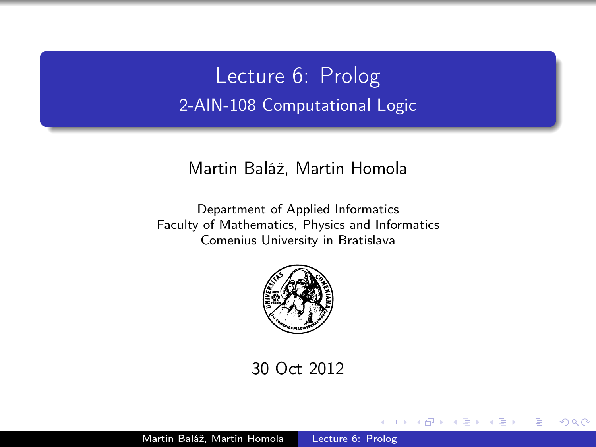Lecture 6: Prolog 2-AIN-108 Computational Logic

### Martin Baláž, Martin Homola

Department of Applied Informatics Faculty of Mathematics, Physics and Informatics Comenius University in Bratislava



30 Oct 2012

<span id="page-0-0"></span> $\blacksquare$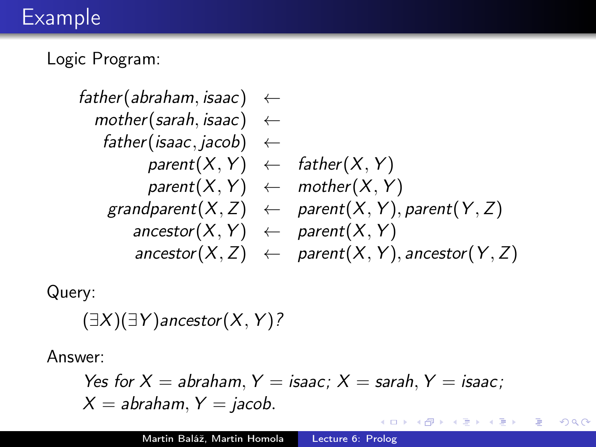# Example

Logic Program:

$$
\begin{array}{lcl} \mathit{father}(\mathit{abraham}, \mathit{isaac}) &\leftarrow\\ \mathit{mother}(\mathit{sarah}, \mathit{isaac}) &\leftarrow\\ \mathit{father}(\mathit{isaac}, \mathit{jacob}) &\leftarrow\\ \mathit{parent}(X, Y) &\leftarrow\mathit{father}(X, Y)\\ \mathit{parent}(X, Y) &\leftarrow\mathit{mother}(X, Y)\\ \mathit{grandparent}(X, Z) &\leftarrow\mathit{parent}(X, Y), \mathit{parent}(Y, Z)\\ \mathit{ancestor}(X, Y) &\leftarrow\mathit{parent}(X, Y)\\ \mathit{ancestor}(X, Z) &\leftarrow\mathit{parent}(X, Y), \mathit{ancestor}(Y, Z) \end{array}
$$

Query:

 $(\exists X)(\exists Y)$ ancestor $(X, Y)$ ?

Answer:

Yes for 
$$
X = abraham
$$
,  $Y = isaac$ ;  $X = sarah$ ,  $Y = isaac$ ;  $X = abraham$ ,  $Y = jacob$ .

 $\leftarrow$ 

Ε

∍  $\,$ 

∍

 $\sim$ × D. к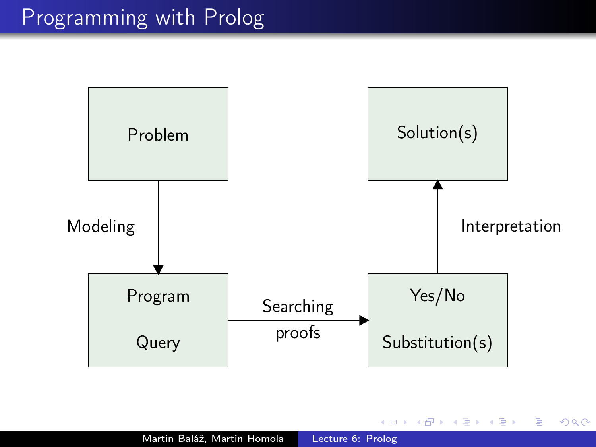

4日)

**K 伊 ▶ → 手** 

 $\sim$ э  $\,$ ×.

Ε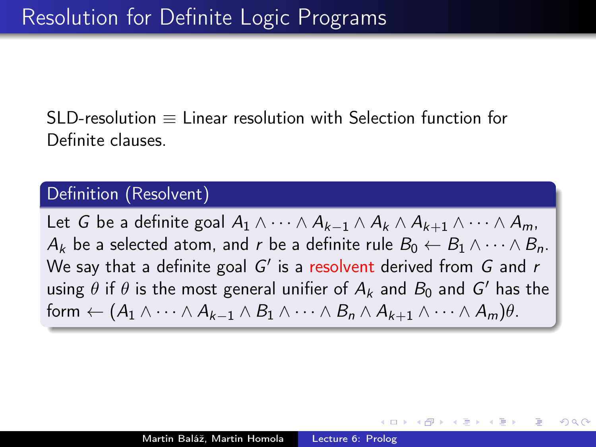SLD-resolution  $\equiv$  Linear resolution with Selection function for Definite clauses.

## Definition (Resolvent)

Let G be a definite goal  $A_1 \wedge \cdots \wedge A_{k-1} \wedge A_k \wedge A_{k+1} \wedge \cdots \wedge A_m$  $A_k$  be a selected atom, and r be a definite rule  $B_0 \leftarrow B_1 \wedge \cdots \wedge B_n$ . We say that a definite goal  $G'$  is a resolvent derived from  $G$  and  $r$ using  $\theta$  if  $\theta$  is the most general unifier of  $A_k$  and  $B_0$  and  $G'$  has the form  $\leftarrow (A_1 \wedge \cdots \wedge A_{k-1} \wedge B_1 \wedge \cdots \wedge B_n \wedge A_{k+1} \wedge \cdots \wedge A_m)\theta$ .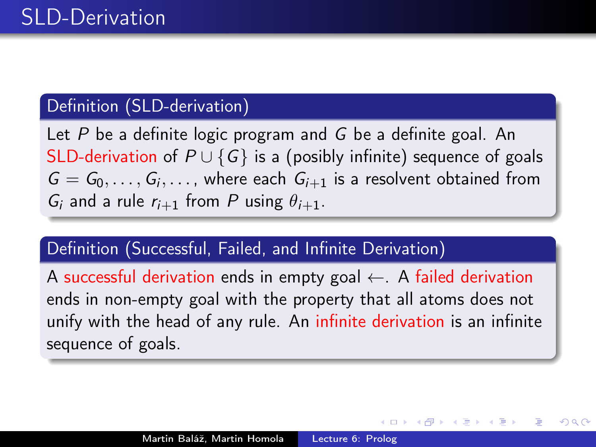## Definition (SLD-derivation)

Let P be a definite logic program and G be a definite goal. An SLD-derivation of  $P \cup \{G\}$  is a (posibly infinite) sequence of goals  $G = G_0, \ldots, G_i, \ldots$ , where each  $G_{i+1}$  is a resolvent obtained from  $G_i$  and a rule  $r_{i+1}$  from P using  $\theta_{i+1}$ .

## Definition (Successful, Failed, and Infinite Derivation)

A successful derivation ends in empty goal  $\leftarrow$ . A failed derivation ends in non-empty goal with the property that all atoms does not unify with the head of any rule. An infinite derivation is an infinite sequence of goals.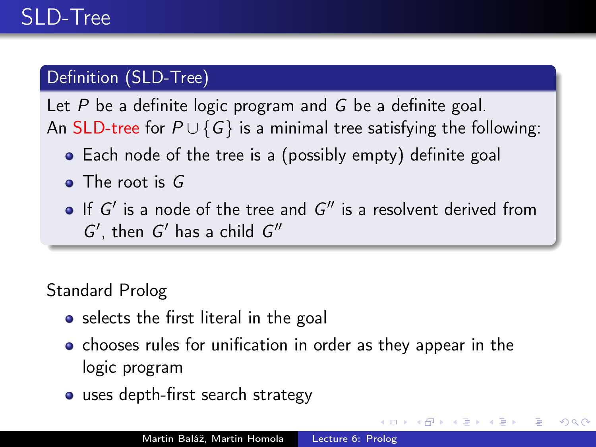# Definition (SLD-Tree)

Let  $P$  be a definite logic program and  $G$  be a definite goal. An SLD-tree for  $P \cup \{G\}$  is a minimal tree satisfying the following:

- Each node of the tree is a (possibly empty) definite goal
- The root is G
- If  $G'$  is a node of the tree and  $G''$  is a resolvent derived from  $G'$ , then  $G'$  has a child  $G''$

# Standard Prolog

- selects the first literal in the goal
- chooses rules for unification in order as they appear in the logic program

つくい

uses depth-first search strategy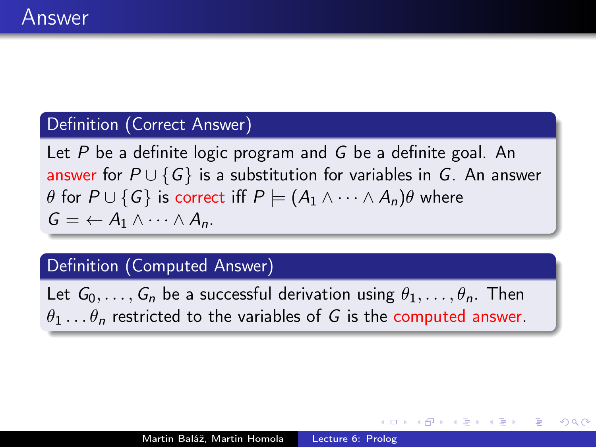## Definition (Correct Answer)

Let  $P$  be a definite logic program and  $G$  be a definite goal. An answer for  $P \cup \{G\}$  is a substitution for variables in G. An answer  $\theta$  for  $P \cup \{G\}$  is correct iff  $P \models (A_1 \land \cdots \land A_n)\theta$  where  $G = \leftarrow A_1 \wedge \cdots \wedge A_n$ 

### Definition (Computed Answer)

Let  $G_0, \ldots, G_n$  be a successful derivation using  $\theta_1, \ldots, \theta_n$ . Then  $\theta_1 \dots \theta_n$  restricted to the variables of G is the computed answer.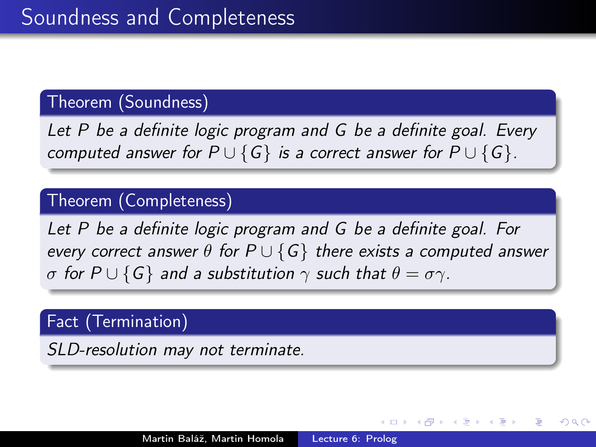## Theorem (Soundness)

Let P be a definite logic program and G be a definite goal. Every computed answer for  $P \cup \{G\}$  is a correct answer for  $P \cup \{G\}$ .

## Theorem (Completeness)

Let P be a definite logic program and G be a definite goal. For every correct answer  $\theta$  for  $P \cup \{G\}$  there exists a computed answer σ for  $P \cup \{G\}$  and a substitution  $\gamma$  such that  $\theta = \sigma \gamma$ .

## Fact (Termination)

SLD-resolution may not terminate.

つくへ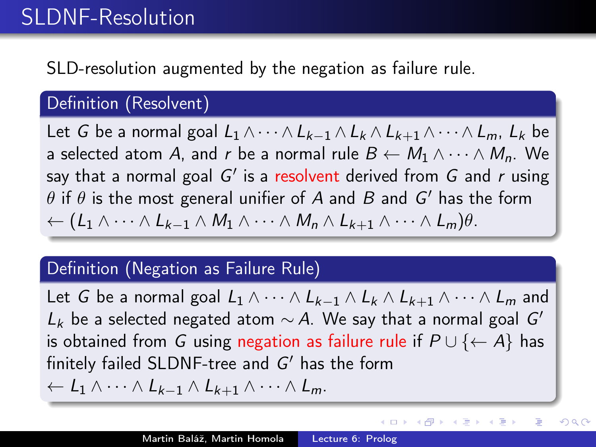# SLDNF-Resolution

# SLD-resolution augmented by the negation as failure rule.

## Definition (Resolvent)

Let G be a normal goal  $L_1 \wedge \cdots \wedge L_{k-1} \wedge L_k \wedge L_{k+1} \wedge \cdots \wedge L_m$ ,  $L_k$  be a selected atom A, and r be a normal rule  $B \leftarrow M_1 \wedge \cdots \wedge M_n$ . We say that a normal goal G' is a <mark>resolvent</mark> derived from G and r using  $\theta$  if  $\theta$  is the most general unifier of  $A$  and  $B$  and  $G'$  has the form  $\leftarrow (L_1 \wedge \cdots \wedge L_{k-1} \wedge M_1 \wedge \cdots \wedge M_n \wedge L_{k+1} \wedge \cdots \wedge L_m)\theta.$ 

### Definition (Negation as Failure Rule)

Let G be a normal goal  $L_1 \wedge \cdots \wedge L_{k-1} \wedge L_k \wedge L_{k+1} \wedge \cdots \wedge L_m$  and  $L_k$  be a selected negated atom  $\sim A$ . We say that a normal goal  $G'$ is obtained from G using negation as failure rule if  $P \cup \{\leftarrow A\}$  has finitely failed SLDNF-tree and  $G'$  has the form  $\leftarrow$  L<sub>1</sub>  $\wedge \cdots \wedge$  L<sub>k-1</sub>  $\wedge$  L<sub>k+1</sub>  $\wedge \cdots \wedge$  L<sub>m</sub>.

メロメ メ母メ メミメ メミメー

э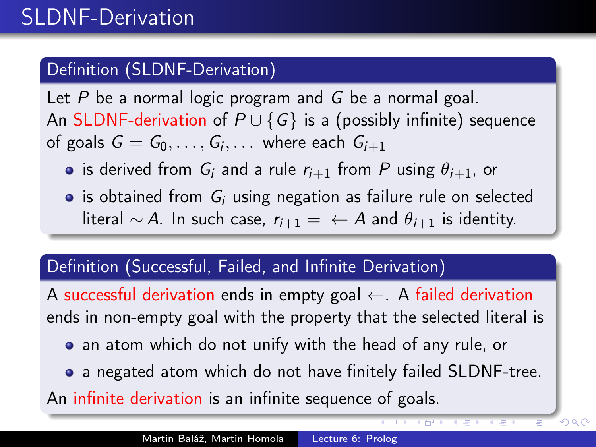# Definition (SLDNF-Derivation)

Let  $P$  be a normal logic program and  $G$  be a normal goal. An SLDNF-derivation of  $P \cup \{G\}$  is a (possibly infinite) sequence of goals  $G=G_0,\ldots,G_i,\ldots$  where each  $G_{i+1}$ 

- is derived from  $G_i$  and a rule  $r_{i+1}$  from P using  $\theta_{i+1}$ , or
- $\bullet$  is obtained from  $G_i$  using negation as failure rule on selected literal ∼ A. In such case,  $r_{i+1} = \leftarrow A$  and  $\theta_{i+1}$  is identity.

## Definition (Successful, Failed, and Infinite Derivation)

A successful derivation ends in empty goal  $\leftarrow$ . A failed derivation ends in non-empty goal with the property that the selected literal is

- an atom which do not unify with the head of any rule, or
- a negated atom which do not have finitely failed SLDNF-tree.

 $299$ 

An infinite derivation is an infinite sequence of goals.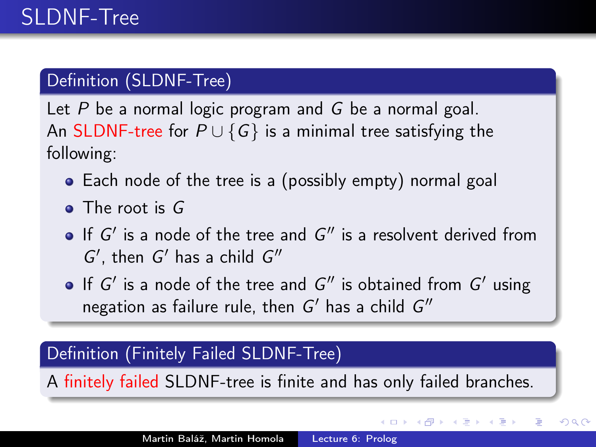# Definition (SLDNF-Tree)

Let  $P$  be a normal logic program and  $G$  be a normal goal. An SLDNF-tree for  $P \cup \{G\}$  is a minimal tree satisfying the following:

- Each node of the tree is a (possibly empty) normal goal
- The root is G
- If  $G'$  is a node of the tree and  $G''$  is a resolvent derived from  $G'$ , then  $G'$  has a child  $G''$
- If  $G'$  is a node of the tree and  $G''$  is obtained from  $G'$  using negation as failure rule, then  $G'$  has a child  $G''$

## Definition (Finitely Failed SLDNF-Tree)

A finitely failed SLDNF-tree is finite and has only failed branches.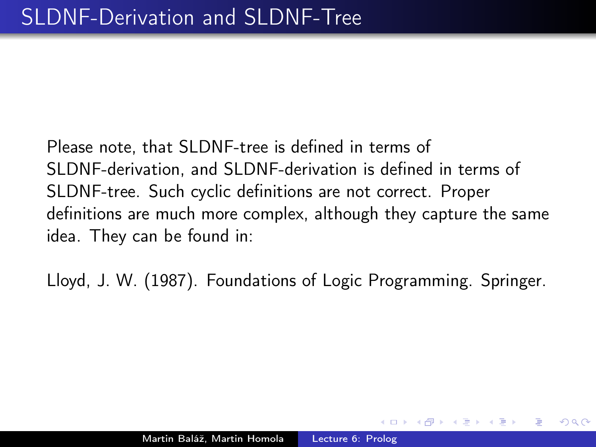Please note, that SLDNF-tree is defined in terms of SLDNF-derivation, and SLDNF-derivation is defined in terms of SLDNF-tree. Such cyclic definitions are not correct. Proper definitions are much more complex, although they capture the same idea. They can be found in:

Lloyd, J. W. (1987). Foundations of Logic Programming. Springer.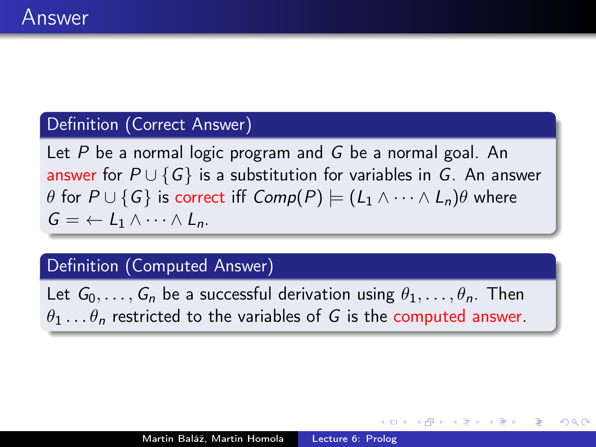### Definition (Correct Answer)

Let  $P$  be a normal logic program and  $G$  be a normal goal. An answer for  $P \cup \{G\}$  is a substitution for variables in G. An answer  $\theta$  for  $P \cup \{G\}$  is correct iff  $Comp(P) \models (L_1 \land \cdots \land L_n)\theta$  where  $G = \leftarrow L_1 \wedge \cdots \wedge L_n$ 

### Definition (Computed Answer)

Let  $G_0, \ldots, G_n$  be a successful derivation using  $\theta_1, \ldots, \theta_n$ . Then  $\theta_1 \dots \theta_n$  restricted to the variables of G is the computed answer.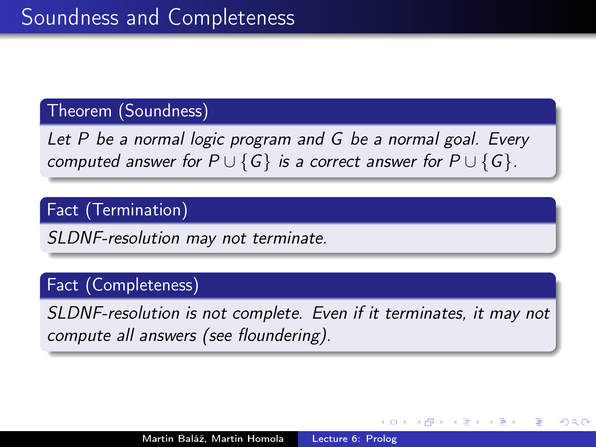#### Theorem (Soundness)

Let P be a normal logic program and G be a normal goal. Every computed answer for  $P \cup \{G\}$  is a correct answer for  $P \cup \{G\}$ .

# Fact (Termination)

SLDNF-resolution may not terminate.

## Fact (Completeness)

SLDNF-resolution is not complete. Even if it terminates, it may not compute all answers (see floundering).

つくへ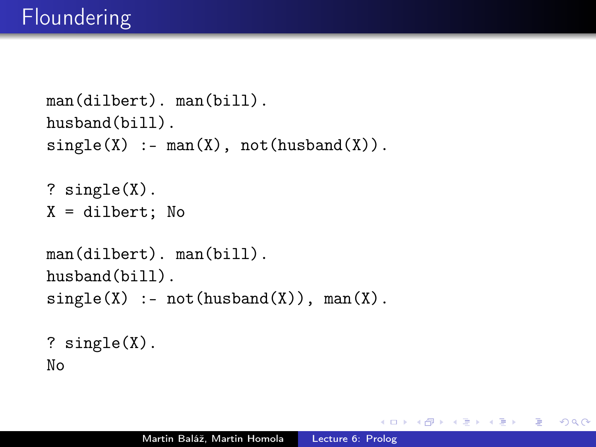```
man(dilbert). man(bill).
husband(bill).
single(X) := man(X), not(husband(X)).? single(X).
X = \text{dilbert}; No
man(dilbert). man(bill).
husband(bill).
single(X) :- not(hushand(X)), man(X).? single(X).
No
```
 $2990$ 

おく 国家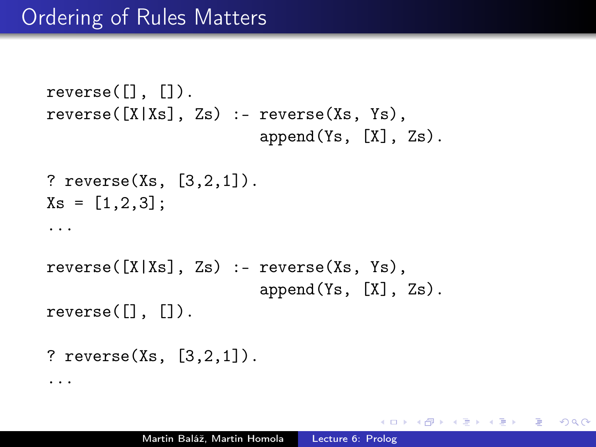```
reverse([], []).
reverse([X|Xs], Zs) :- reverse(Xs, Ys),
                        append(Ys, [X], Zs).
? reverse(Xs, [3,2,1]).
Xs = [1, 2, 3];...
reverse([X|Xs], Zs) :- reverse(Xs, Ys),
                        append(Ys, [X], Zs).
reverse([], []).
? reverse(Xs, [3,2,1]).
...
```
 $\Omega$